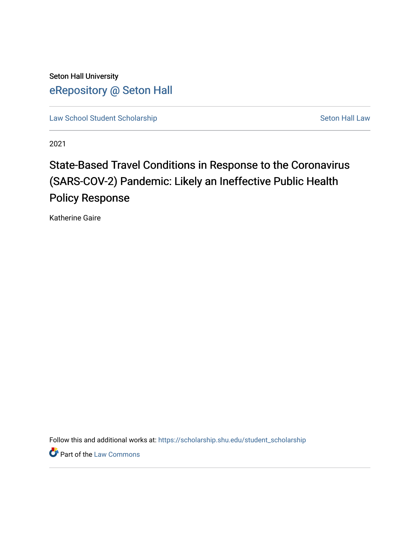Seton Hall University [eRepository @ Seton Hall](https://scholarship.shu.edu/)

[Law School Student Scholarship](https://scholarship.shu.edu/student_scholarship) Seton Hall Law

2021

# State-Based Travel Conditions in Response to the Coronavirus (SARS-COV-2) Pandemic: Likely an Ineffective Public Health Policy Response

Katherine Gaire

Follow this and additional works at: [https://scholarship.shu.edu/student\\_scholarship](https://scholarship.shu.edu/student_scholarship?utm_source=scholarship.shu.edu%2Fstudent_scholarship%2F1167&utm_medium=PDF&utm_campaign=PDFCoverPages) 

**Part of the [Law Commons](http://network.bepress.com/hgg/discipline/578?utm_source=scholarship.shu.edu%2Fstudent_scholarship%2F1167&utm_medium=PDF&utm_campaign=PDFCoverPages)**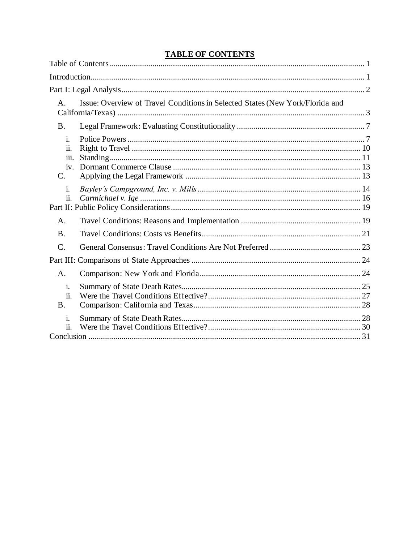# **TABLE OF CONTENTS**

| $\mathsf{A}$ .                        | Issue: Overview of Travel Conditions in Selected States (New York/Florida and |  |
|---------------------------------------|-------------------------------------------------------------------------------|--|
| <b>B.</b>                             |                                                                               |  |
| i.<br>ii.<br><i>iii.</i><br>iv.<br>C. |                                                                               |  |
| i.<br>ii.                             |                                                                               |  |
| A.                                    |                                                                               |  |
| <b>B</b> .                            |                                                                               |  |
| $\mathcal{C}$ .                       |                                                                               |  |
|                                       |                                                                               |  |
| A.                                    |                                                                               |  |
| i.<br>ii.<br><b>B.</b>                |                                                                               |  |
| i.<br>ii.                             |                                                                               |  |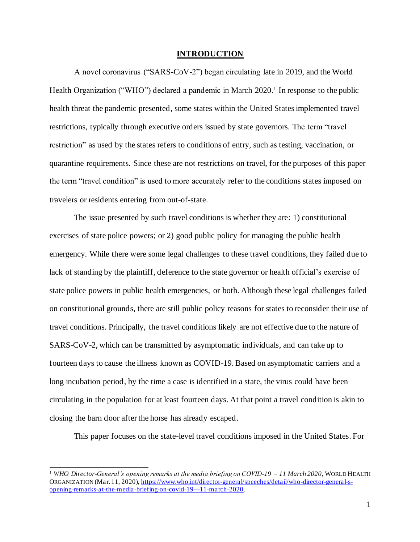#### **INTRODUCTION**

A novel coronavirus ("SARS-CoV-2") began circulating late in 2019, and the World Health Organization ("WHO") declared a pandemic in March 2020.<sup>1</sup> In response to the public health threat the pandemic presented, some states within the United States implemented travel restrictions, typically through executive orders issued by state governors. The term "travel restriction" as used by the states refers to conditions of entry, such as testing, vaccination, or quarantine requirements. Since these are not restrictions on travel, for the purposes of this paper the term "travel condition" is used to more accurately refer to the conditions states imposed on travelers or residents entering from out-of-state.

The issue presented by such travel conditions is whether they are: 1) constitutional exercises of state police powers; or 2) good public policy for managing the public health emergency. While there were some legal challenges to these travel conditions, they failed due to lack of standing by the plaintiff, deference to the state governor or health official's exercise of state police powers in public health emergencies, or both. Although these legal challenges failed on constitutional grounds, there are still public policy reasons for states to reconsider their use of travel conditions. Principally, the travel conditions likely are not effective due to the nature of SARS-CoV-2, which can be transmitted by asymptomatic individuals, and can take up to fourteen days to cause the illness known as COVID-19. Based on asymptomatic carriers and a long incubation period, by the time a case is identified in a state, the virus could have been circulating in the population for at least fourteen days. At that point a travel condition is akin to closing the barn door after the horse has already escaped.

This paper focuses on the state-level travel conditions imposed in the United States. For

<sup>1</sup> *WHO Director-General's opening remarks at the media briefing on COVID-19 – 11 March 2020*, WORLD HEALTH ORGANIZATION (Mar. 11, 2020), https://www.who.int/director-general/speeches/detail/who-director-general-sopening-remarks-at-the-media-briefing-on-covid-19---11-march-2020.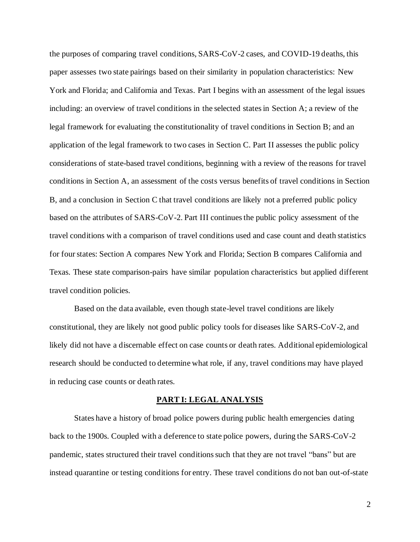the purposes of comparing travel conditions, SARS-CoV-2 cases, and COVID-19 deaths, this paper assesses two state pairings based on their similarity in population characteristics: New York and Florida; and California and Texas. Part I begins with an assessment of the legal issues including: an overview of travel conditions in the selected states in Section A; a review of the legal framework for evaluating the constitutionality of travel conditions in Section B; and an application of the legal framework to two cases in Section C. Part II assesses the public policy considerations of state-based travel conditions, beginning with a review of the reasons for travel conditions in Section A, an assessment of the costs versus benefits of travel conditions in Section B, and a conclusion in Section C that travel conditions are likely not a preferred public policy based on the attributes of SARS-CoV-2. Part III continues the public policy assessment of the travel conditions with a comparison of travel conditions used and case count and death statistics for four states: Section A compares New York and Florida; Section B compares California and Texas. These state comparison-pairs have similar population characteristics but applied different travel condition policies.

Based on the data available, even though state-level travel conditions are likely constitutional, they are likely not good public policy tools for diseases like SARS-CoV-2, and likely did not have a discernable effect on case counts or death rates. Additional epidemiological research should be conducted to determine what role, if any, travel conditions may have played in reducing case counts or death rates.

#### **PART I: LEGAL ANALYSIS**

States have a history of broad police powers during public health emergencies dating back to the 1900s. Coupled with a deference to state police powers, during the SARS-CoV-2 pandemic, states structured their travel conditions such that they are not travel "bans" but are instead quarantine or testing conditions for entry. These travel conditions do not ban out-of-state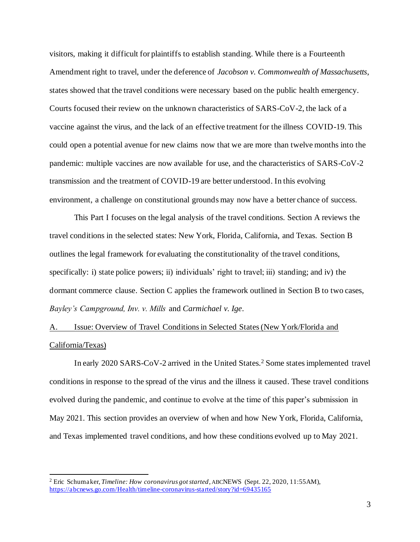visitors, making it difficult for plaintiffs to establish standing. While there is a Fourteenth Amendment right to travel, under the deference of *Jacobson v. Commonwealth of Massachusetts*, states showed that the travel conditions were necessary based on the public health emergency. Courts focused their review on the unknown characteristics of SARS-CoV-2, the lack of a vaccine against the virus, and the lack of an effective treatment for the illness COVID-19. This could open a potential avenue for new claims now that we are more than twelve months into the pandemic: multiple vaccines are now available for use, and the characteristics of SARS-CoV-2 transmission and the treatment of COVID-19 are better understood. In this evolving environment, a challenge on constitutional grounds may now have a better chance of success.

This Part I focuses on the legal analysis of the travel conditions. Section A reviews the travel conditions in the selected states: New York, Florida, California, and Texas. Section B outlines the legal framework for evaluating the constitutionality of the travel conditions, specifically: i) state police powers; ii) individuals' right to travel; iii) standing; and iv) the dormant commerce clause. Section C applies the framework outlined in Section B to two cases, *Bayley's Campground, Inv. v. Mills* and *Carmichael v. Ige*.

A. Issue: Overview of Travel Conditions in Selected States (New York/Florida and California/Texas)

In early 2020 SARS-CoV-2 arrived in the United States.<sup>2</sup> Some states implemented travel conditions in response to the spread of the virus and the illness it caused. These travel conditions evolved during the pandemic, and continue to evolve at the time of this paper's submission in May 2021. This section provides an overview of when and how New York, Florida, California, and Texas implemented travel conditions, and how these conditions evolved up to May 2021.

<sup>2</sup> Eric Schumaker, *Timeline: How coronavirus got started*, ABCNEWS (Sept. 22, 2020, 11:55AM), https://abcnews.go.com/Health/timeline-coronavirus-started/story?id=69435165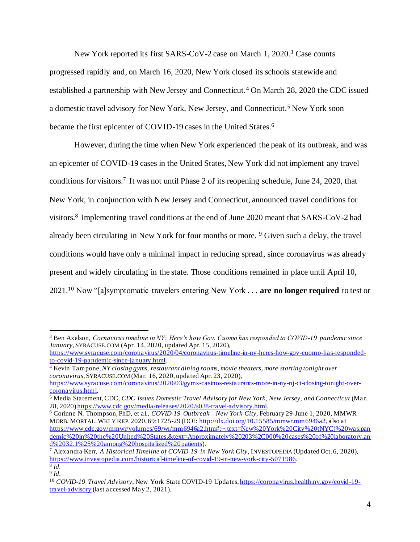New York reported its first SARS-CoV-2 case on March 1, 2020.<sup>3</sup> Case counts progressed rapidly and, on March 16, 2020, New York closed its schools statewide and established a partnership with New Jersey and Connecticut.<sup>4</sup> On March 28, 2020 the CDC issued a domestic travel advisory for New York, New Jersey, and Connecticut.<sup>5</sup> New York soon became the first epicenter of COVID-19 cases in the United States.<sup>6</sup>

However, during the time when New York experienced the peak of its outbreak, and was an epicenter of COVID-19 cases in the United States, New York did not implement any travel conditions for visitors.<sup>7</sup> It was not until Phase 2 of its reopening schedule, June 24, 2020, that New York, in conjunction with New Jersey and Connecticut, announced travel conditions for visitors.<sup>8</sup> Implementing travel conditions at the end of June 2020 meant that SARS-CoV-2 had already been circulating in New York for four months or more. <sup>9</sup> Given such a delay, the travel conditions would have only a minimal impact in reducing spread, since coronavirus was already present and widely circulating in the state. Those conditions remained in place until April 10, 2021.<sup>10</sup> Now "[a]symptomatic travelers entering New York . . . **are no longer required** to test or

<sup>3</sup> Ben Axelson, *Cornavirus timeline in NY: Here's how Gov. Cuomo has responded to COVID-19 pandemic since January*, SYRACUSE.COM (Apr. 14, 2020, updated Apr. 15, 2020),

https://www.syracuse.com/coronavirus/2020/04/coronavirus-timeline-in-ny-heres-how-gov-cuomo-has-respondedto-covid-19-pandemic-since-january.html.

<sup>4</sup> Kevin Tampone, *NY closing gyms, restaurant dining rooms, movie theaters, more starting tonight over coronavirus*, SYRACUSE.COM (Mar. 16, 2020, updated Apr. 23, 2020),

https://www.syracuse.com/coronavirus/2020/03/gyms-casinos-restaurants-more-in-ny-nj-ct-closing-tonight-overcoronavirus.html.

<sup>5</sup> Media Statement, CDC, *CDC Issues Domestic Travel Advisory for New York, New Jersey, and Connecticut* (Mar. 28, 2020) https://www.cdc.gov/media/releases/2020/s038-travel-advisory.html.

<sup>6</sup> Corinne N. Thompson, PhD, et al., *COVID-19 Outbreak – New York City*, February 29-June 1, 2020, MMWR MORB. MORTAL.WKLY REP. 2020, 69:1725-29 (DOI: http://dx.doi.org/10.15585/mmwr.mm6946a2, also at https://www.cdc.gov/mmwr/volumes/69/wr/mm6946a2.htm#:~:text=New%20York%20City%20(NYC)%20was,pan demic%20in%20the%20United%20States.&text=Approximately%20203%2C000%20cases%20of%20laboratory,an d%2032.1%25%20among%20hospitalized%20patients).

<sup>7</sup> Alexandra Kerr, *A Historical Timeline of COVID-19 in New York City*, INVESTOPEDIA (Updated Oct. 6, 2020), https://www.investopedia.com/historical-timeline-of-covid-19-in-new-york-city-5071986.

<sup>8</sup> *Id.*

<sup>9</sup> *Id.*

<sup>10</sup> *COVID-19 Travel Advisory*, New York State COVID-19 Updates, https://coronavirus.health.ny.gov/covid-19 travel-advisory (last accessed May 2, 2021).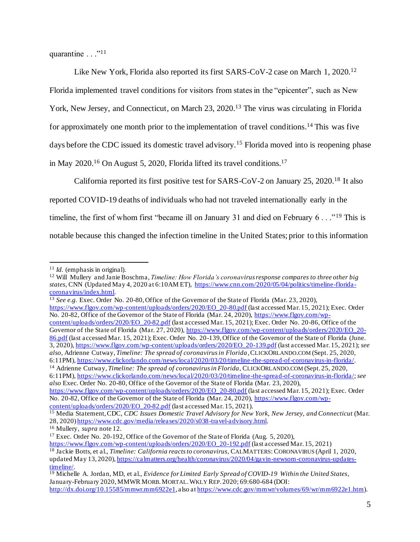quarantine  $\ldots$ <sup>"11</sup>

Like New York, Florida also reported its first SARS-CoV-2 case on March 1, 2020.<sup>12</sup> Florida implemented travel conditions for visitors from states in the "epicenter", such as New York, New Jersey, and Connecticut, on March 23, 2020.<sup>13</sup> The virus was circulating in Florida for approximately one month prior to the implementation of travel conditions.<sup>14</sup> This was five days before the CDC issued its domestic travel advisory.<sup>15</sup> Florida moved into is reopening phase in May 2020.<sup>16</sup> On August 5, 2020, Florida lifted its travel conditions.<sup>17</sup>

California reported its first positive test for SARS-CoV-2 on January 25, 2020.<sup>18</sup> It also reported COVID-19 deaths of individuals who had not traveled internationally early in the timeline, the first of whom first "became ill on January 31 and died on February 6..."<sup>19</sup> This is notable because this changed the infection timeline in the United States; prior to this information

<sup>13</sup> *See e.g.* Exec. Order No. 20-80, Office of the Governor of the State of Florida (Mar. 23, 2020),

https://www.flgov.com/wp-content/uploads/orders/2020/EO\_20-80.pdf (last accessed Mar. 15, 2021); Exec. Order No. 20-82, Office of the Governor of the State of Florida (Mar. 24, 2020), https://www.flgov.com/wpcontent/uploads/orders/2020/EO\_20-82.pdf (last accessed Mar. 15, 2021); Exec. Order No. 20-86, Office of the Governor of the State of Florida (Mar. 27, 2020), https://www.flgov.com/wp-content/uploads/orders/2020/EO\_20-86.pdf (last accessed Mar. 15, 2021); Exec. Order No. 20-139, Office of the Governor of the State of Florida (June. 3, 2020), https://www.flgov.com/wp-content/uploads/orders/2020/EO\_20-139.pdf (last accessed Mar. 15, 2021); *see also*, Adrienne Cutway, *Timeline: The spread of coronavirus in Florida*, CLICKORLANDO.COM (Sept. 25, 2020, 6:11PM), https://www.clickorlando.com/news/local/2020/03/20/timeline-the-spread-of-coronavirus-in-florida/.

<sup>14</sup> Adrienne Cutway, *Timeline: The spread of coronavirus in Florida*, CLICKORLANDO.COM (Sept. 25, 2020, 6:11PM), https://www.clickorlando.com/news/local/2020/03/20/timeline-the-spread-of-coronavirus-in-florida/; *see also* Exec. Order No. 20-80, Office of the Governor of the State of Florida (Mar. 23, 2020),

https://www.flgov.com/wp-content/uploads/orders/2020/EO\_20-80.pdf (last accessed Mar. 15, 2021); Exec. Order No. 20-82, Office of the Governor of the State of Florida (Mar. 24, 2020), https://www.flgov.com/wpcontent/uploads/orders/2020/EO\_20-82.pdf (last accessed Mar. 15, 2021).

<sup>11</sup> *Id.* (emphasis in original).

<sup>12</sup> Will Mullery and Janie Boschma, *Timeline: How Florida's coronavirus response compares to three other big states*, CNN (Updated May 4, 2020 at 6:10AM ET), https://www.cnn.com/2020/05/04/politics/timeline-floridacoronavirus/index.html.

<sup>15</sup> Media Statement, CDC, *CDC Issues Domestic Travel Advisory for New York, New Jersey, and Connecticut* (Mar. 28, 2020) https://www.cdc.gov/media/releases/2020/s038-travel-advisory.html. <sup>16</sup> Mullery, *supra* note 12.

<sup>&</sup>lt;sup>17</sup> Exec. Order No. 20-192, Office of the Governor of the State of Florida (Aug. 5, 2020),

https://www.flgov.com/wp-content/uploads/orders/2020/EO\_20-192.pdf (last accessed Mar. 15, 2021) <sup>18</sup> Jackie Botts, et al., *Timeline: California reacts to coronavirus*, CALMATTERS: CORONAVIRUS (April 1, 2020, updated May 13, 2020), https://calmatters.org/health/coronavirus/2020/04/gavin-newsom-coronavirus-updatestimeline/.

<sup>19</sup> Michelle A. Jordan, MD, et al., *Evidence for Limited Early Spread of COVID-19 Within the United States*, January-February 2020, MMWR MORB.MORTAL.WKLY REP. 2020; 69:680-684 (DOI: http://dx.doi.org/10.15585/mmwr.mm6922e1, also at https://www.cdc.gov/mmwr/volumes/69/wr/mm6922e1.htm).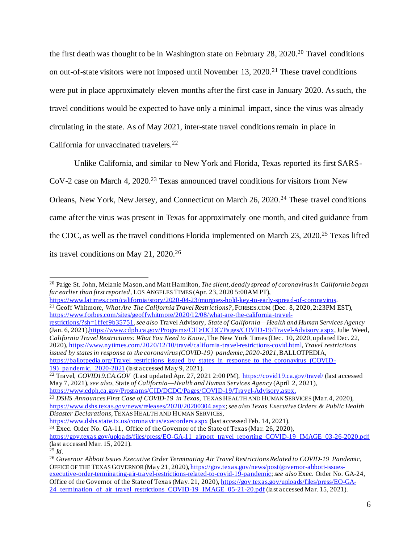the first death was thought to be in Washington state on February 28, 2020.<sup>20</sup> Travel conditions on out-of-state visitors were not imposed until November  $13$ ,  $2020$ <sup>21</sup> These travel conditions were put in place approximately eleven months after the first case in January 2020. As such, the travel conditions would be expected to have only a minimal impact, since the virus was already circulating in the state. As of May 2021, inter-state travel conditions remain in place in California for unvaccinated travelers.<sup>22</sup>

Unlike California, and similar to New York and Florida, Texas reported its first SARS-

CoV-2 case on March 4, 2020.<sup>23</sup> Texas announced travel conditions for visitors from New

Orleans, New York, New Jersey, and Connecticut on March 26, 2020.<sup>24</sup> These travel conditions came after the virus was present in Texas for approximately one month, and cited guidance from the CDC, as well as the travel conditions Florida implemented on March 23, 2020.<sup>25</sup> Texas lifted its travel conditions on May 21, 2020.<sup>26</sup>

https://www.latimes.com/california/story/2020-04-23/morgues-hold-key-to-early-spread-of-coronavirus.

restrictions/?sh=1ffef9b35751, *see also* Travel Advisory, *State of California—Health and Human Services Agency* (Jan. 6, 2021),https://www.cdph.ca.gov/Programs/CID/DCDC/Pages/COVID-19/Travel-Advisory.aspx, Julie Weed, *California Travel Restrictions: What You Need to Know*, The New York Times (Dec. 10, 2020, updated Dec. 22, 2020), https://www.nytimes.com/2020/12/10/travel/california -travel-restrictions-covid.html, *Travel restrictions issued by states in response to the coronavirus (COVID-19) pandemic, 2020-2021*, BALLOTPEDIA, https://ballotpedia.org/Travel\_restrictions\_issued\_by\_states\_in\_response\_to\_the\_coronavirus\_(COVID-19) pandemic, 2020-2021 (last accessed May 9, 2021).

<sup>22</sup> Travel, *COVID19.CA.GOV* (Last updated Apr. 27, 2021 2:00 PM), https://covid19.ca.gov/travel/ (last accessed May 7, 2021), *see also,* State *of California—Health and Human Services Agency* (April 2, 2021), https://www.cdph.ca.gov/Programs/CID/DCDC/Pages/COVID-19/Travel-Advisory.aspx.

https://www.dshs.state.tx.us/coronavirus/execorders.aspx (last accessed Feb. 14, 2021).

<sup>20</sup> Paige St. John, Melanie Mason, and Matt Hamilton, *The silent, deadly spread of coronavirus in California began far earlier than first reported*, LOS ANGELES TIMES (Apr. 23, 2020 5:00AM PT),

<sup>21</sup> Geoff Whitmore, *What Are The California Travel Restrictions?*, FORBES.COM (Dec. 8, 2020, 2:23PM EST), https://www.forbes.com/sites/geoffwhitmore/2020/12/08/what-are-the-california-travel-

<sup>23</sup> *DSHS Announces First Case of COVID-19 in Texas*, TEXAS HEALTH AND HUMAN SERVICES (Mar. 4, 2020), https://www.dshs.texas.gov/news/releases/2020/20200304.aspx; *see also Texas Executive Orders & Public Health Disaster Declarations*, TEXAS HEALTH AND HUMAN SERVICES,

 $24$  Exec. Order No. GA-11, Office of the Governor of the State of Texas (Mar. 26, 2020), https://gov.texas.gov/uploads/files/press/EO-GA-11\_airport\_travel\_reporting\_COVID-19\_IMAGE\_03-26-2020.pdf (last accessed Mar. 15, 2021).

<sup>25</sup> *Id.*

<sup>26</sup> *Governor Abbott Issues Executive Order Terminating Air Travel Restrictions Related to COVID-19 Pandemic*, OFFICE OF THE TEXAS GOVERNOR (May 21, 2020), https://gov.texas.gov/news/post/governor-abbott-issuesexecutive-order-terminating-air-travel-restrictions-related-to-covid-19-pandemic; *see also* Exec. Order No. GA-24, Office of the Governor of the State of Texas (May. 21, 2020), https://gov.texas.gov/uploads/files/press/EO-GA-24 termination of air travel restrictions COVID-19 IMAGE 05-21-20.pdf (last accessed Mar. 15, 2021).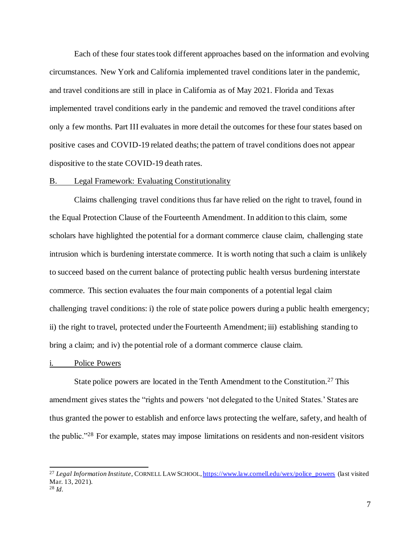Each of these four states took different approaches based on the information and evolving circumstances. New York and California implemented travel conditions later in the pandemic, and travel conditions are still in place in California as of May 2021. Florida and Texas implemented travel conditions early in the pandemic and removed the travel conditions after only a few months. Part III evaluates in more detail the outcomes for these four states based on positive cases and COVID-19 related deaths; the pattern of travel conditions does not appear dispositive to the state COVID-19 death rates.

#### B. Legal Framework: Evaluating Constitutionality

Claims challenging travel conditions thus far have relied on the right to travel, found in the Equal Protection Clause of the Fourteenth Amendment. In addition to this claim, some scholars have highlighted the potential for a dormant commerce clause claim, challenging state intrusion which is burdening interstate commerce. It is worth noting that such a claim is unlikely to succeed based on the current balance of protecting public health versus burdening interstate commerce. This section evaluates the four main components of a potential legal claim challenging travel conditions: i) the role of state police powers during a public health emergency; ii) the right to travel, protected under the Fourteenth Amendment; iii) establishing standing to bring a claim; and iv) the potential role of a dormant commerce clause claim.

#### i. Police Powers

State police powers are located in the Tenth Amendment to the Constitution.<sup>27</sup> This amendment gives states the "rights and powers 'not delegated to the United States.' States are thus granted the power to establish and enforce laws protecting the welfare, safety, and health of the public."<sup>28</sup> For example, states may impose limitations on residents and non-resident visitors

<sup>&</sup>lt;sup>27</sup> *Legal Information Institute*, CORNELL LAW SCHOOL, https://www.law.cornell.edu/wex/police\_powers (last visited Mar. 13, 2021). <sup>28</sup> *Id.*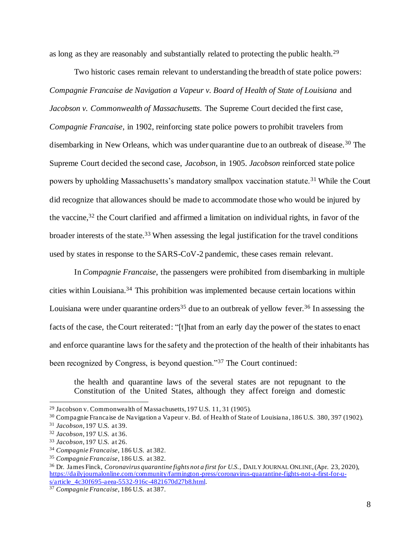as long as they are reasonably and substantially related to protecting the public health.<sup>29</sup>

Two historic cases remain relevant to understanding the breadth of state police powers: *Compagnie Francaise de Navigation a Vapeur v. Board of Health of State of Louisiana* and *Jacobson v. Commonwealth of Massachusetts*. The Supreme Court decided the first case, *Compagnie Francaise*, in 1902, reinforcing state police powers to prohibit travelers from disembarking in New Orleans, which was under quarantine due to an outbreak of disease.<sup>30</sup> The Supreme Court decided the second case, *Jacobson*, in 1905. *Jacobson* reinforced state police powers by upholding Massachusetts's mandatory smallpox vaccination statute.<sup>31</sup> While the Court did recognize that allowances should be made to accommodate those who would be injured by the vaccine, <sup>32</sup> the Court clarified and affirmed a limitation on individual rights, in favor of the broader interests of the state.<sup>33</sup> When assessing the legal justification for the travel conditions used by states in response to the SARS-CoV-2 pandemic, these cases remain relevant.

In *Compagnie Francaise*, the passengers were prohibited from disembarking in multiple cities within Louisiana.<sup>34</sup> This prohibition was implemented because certain locations within Louisiana were under quarantine orders<sup>35</sup> due to an outbreak of yellow fever.<sup>36</sup> In assessing the facts of the case, the Court reiterated: "[t]hat from an early day the power of the states to enact and enforce quarantine laws for the safety and the protection of the health of their inhabitants has been recognized by Congress, is beyond question."<sup>37</sup> The Court continued:

the health and quarantine laws of the several states are not repugnant to the Constitution of the United States, although they affect foreign and domestic

<sup>30</sup> Compagnie Francaise de Navigation a Vapeur v. Bd. of Health of State of Louisiana, 186 U.S. 380, 397 (1902).

<sup>29</sup> Jacobson v. Commonwealth of Massachusetts, 197 U.S. 11, 31 (1905).

<sup>31</sup> *Jacobson*, 197 U.S. at 39.

<sup>32</sup> *Jacobson*, 197 U.S. at 36.

<sup>33</sup> *Jacobson*, 197 U.S. at 26.

<sup>34</sup> *Compagnie Francaise*, 186 U.S. at 382.

<sup>35</sup> *Compagnie Francaise*, 186 U.S. at 382.

<sup>36</sup> Dr. James Finck, *Coronavirus quarantine fights not a first for U.S.*, DAILY JOURNAL ONLINE, (Apr. 23, 2020), https://dailyjournalonline.com/community/farmington-press/coronavirus-quarantine-fights-not-a-first-for-us/article\_4c30f695-aeea-5532-916c-4821670d27b8.html.

<sup>37</sup> *Compagnie Francaise*, 186 U.S. at 387.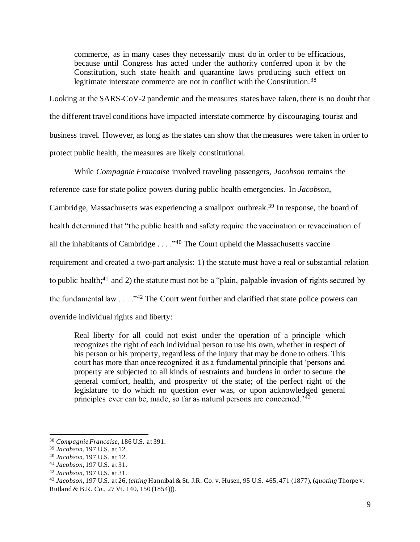commerce, as in many cases they necessarily must do in order to be efficacious, because until Congress has acted under the authority conferred upon it by the Constitution, such state health and quarantine laws producing such effect on legitimate interstate commerce are not in conflict with the Constitution.<sup>38</sup>

Looking at the SARS-CoV-2 pandemic and the measures states have taken, there is no doubt that the different travel conditions have impacted interstate commerce by discouraging tourist and business travel. However, as long as the states can show that the measures were taken in order to protect public health, the measures are likely constitutional.

While *Compagnie Francaise* involved traveling passengers, *Jacobson* remains the

reference case for state police powers during public health emergencies. In *Jacobson*,

Cambridge, Massachusetts was experiencing a smallpox outbreak.<sup>39</sup> In response, the board of

health determined that "the public health and safety require the vaccination or revaccination of

all the inhabitants of Cambridge  $\ldots$  ."<sup>40</sup> The Court upheld the Massachusetts vaccine

requirement and created a two-part analysis: 1) the statute must have a real or substantial relation

to public health;<sup>41</sup> and 2) the statute must not be a "plain, palpable invasion of rights secured by

the fundamental law  $\dots$  ."<sup>42</sup> The Court went further and clarified that state police powers can

override individual rights and liberty:

Real liberty for all could not exist under the operation of a principle which recognizes the right of each individual person to use his own, whether in respect of his person or his property, regardless of the injury that may be done to others. This court has more than once recognized it as a fundamental principle that 'persons and property are subjected to all kinds of restraints and burdens in order to secure the general comfort, health, and prosperity of the state; of the perfect right of the legislature to do which no question ever was, or upon acknowledged general principles ever can be, made, so far as natural persons are concerned.'<sup>43</sup>

<sup>38</sup> *Compagnie Francaise*, 186 U.S. at 391.

<sup>39</sup> *Jacobson*, 197 U.S. at 12.

<sup>40</sup> *Jacobson*, 197 U.S. at 12.

<sup>41</sup> *Jacobson*, 197 U.S. at 31.

<sup>42</sup> *Jacobson*, 197 U.S. at 31.

<sup>43</sup> *Jacobson*, 197 U.S. at 26, (*citing* Hannibal& St. J.R. Co. v. Husen, 95 U.S. 465, 471 (1877), (*quoting* Thorpe v. Rutland & B.R*. Co.*, 27 Vt. 140, 150 (1854))).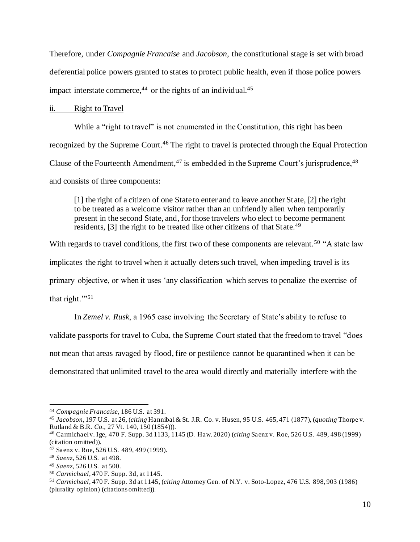Therefore, under *Compagnie Francaise* and *Jacobson*, the constitutional stage is set with broad deferential police powers granted to states to protect public health, even if those police powers impact interstate commerce,<sup>44</sup> or the rights of an individual.<sup>45</sup>

#### ii. Right to Travel

While a "right to travel" is not enumerated in the Constitution, this right has been recognized by the Supreme Court.<sup>46</sup> The right to travel is protected through the Equal Protection Clause of the Fourteenth Amendment,  $47$  is embedded in the Supreme Court's jurisprudence,  $48$ and consists of three components:

[1] the right of a citizen of one State to enter and to leave another State, [2] the right to be treated as a welcome visitor rather than an unfriendly alien when temporarily present in the second State, and, for those travelers who elect to become permanent residents, [3] the right to be treated like other citizens of that State.<sup>49</sup>

With regards to travel conditions, the first two of these components are relevant.<sup>50</sup> "A state law implicates the right to travel when it actually deters such travel, when impeding travel is its primary objective, or when it uses 'any classification which serves to penalize the exercise of that right."<sup>51</sup>

In *Zemel v. Rusk*, a 1965 case involving the Secretary of State's ability to refuse to validate passports for travel to Cuba, the Supreme Court stated that the freedom to travel "does not mean that areas ravaged by flood, fire or pestilence cannot be quarantined when it can be demonstrated that unlimited travel to the area would directly and materially interfere with the

<sup>44</sup> *Compagnie Francaise*, 186 U.S. at 391.

<sup>45</sup> *Jacobson*, 197 U.S. at 26, (*citing* Hannibal& St. J.R. Co. v. Husen, 95 U.S. 465, 471 (1877), (*quoting* Thorpe v. Rutland & B.R*. Co.*, 27 Vt. 140, 150 (1854))).

<sup>46</sup> Carmichaelv. Ige, 470 F. Supp. 3d 1133, 1145 (D. Haw. 2020) (*citing* Saenz v. Roe, 526 U.S. 489, 498 (1999) (citation omitted)).

<sup>47</sup> Saenz v. Roe, 526 U.S. 489, 499 (1999).

<sup>48</sup> *Saenz*, 526 U.S. at 498.

<sup>49</sup> *Saenz*, 526 U.S. at 500.

<sup>50</sup> *Carmichael*, 470 F. Supp. 3d, at 1145.

<sup>51</sup> *Carmichael*, 470 F. Supp. 3d at 1145, (*citing* Attorney Gen. of N.Y. v. Soto-Lopez, 476 U.S. 898, 903 (1986) (plurality opinion) (citations omitted)).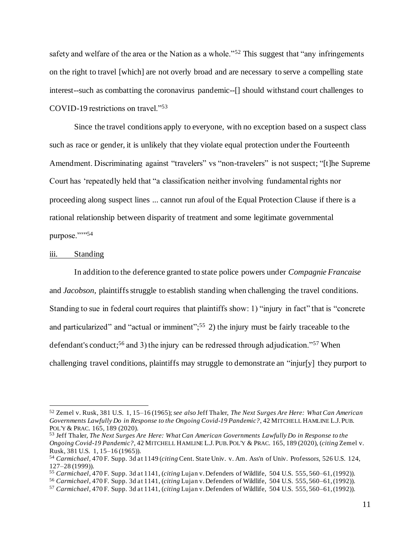safety and welfare of the area or the Nation as a whole."<sup>52</sup> This suggest that "any infringements" on the right to travel [which] are not overly broad and are necessary to serve a compelling state interest--such as combatting the coronavirus pandemic--[] should withstand court challenges to COVID-19 restrictions on travel."<sup>53</sup>

Since the travel conditions apply to everyone, with no exception based on a suspect class such as race or gender, it is unlikely that they violate equal protection under the Fourteenth Amendment. Discriminating against "travelers" vs "non-travelers" is not suspect; "[t]he Supreme Court has 'repeatedly held that "a classification neither involving fundamental rights nor proceeding along suspect lines ... cannot run afoul of the Equal Protection Clause if there is a rational relationship between disparity of treatment and some legitimate governmental purpose."">54

#### iii. Standing

In addition to the deference granted to state police powers under *Compagnie Francaise* and *Jacobson*, plaintiffs struggle to establish standing when challenging the travel conditions. Standing to sue in federal court requires that plaintiffs show: 1) "injury in fact" that is "concrete and particularized" and "actual or imminent";<sup>55</sup> 2) the injury must be fairly traceable to the defendant's conduct;<sup>56</sup> and 3) the injury can be redressed through adjudication."<sup>57</sup> When challenging travel conditions, plaintiffs may struggle to demonstrate an "injur[y] they purport to

<sup>52</sup> Zemel v. Rusk, 381 U.S. 1, 15–16 (1965); *see also* Jeff Thaler, *The Next Surges Are Here: What Can American Governments Lawfully Do in Response to the Ongoing Covid-19 Pandemic?*, 42 MITCHELL HAMLINE L.J.PUB. POL'Y & PRAC. 165, 189 (2020).

<sup>53</sup> Jeff Thaler, *The Next Surges Are Here: What Can American Governments Lawfully Do in Response to the Ongoing Covid-19 Pandemic?*, 42 MITCHELL HAMLINE L.J.PUB.POL'Y & PRAC. 165, 189 (2020), (*citing* Zemel v. Rusk, 381 U.S. 1, 15–16 (1965)).

<sup>54</sup> *Carmichael*, 470 F. Supp. 3d at 1149 (*citing* Cent. State Univ. v. Am. Ass'n of Univ. Professor*s*, 526 U.S. 124, 127–28 (1999)).

<sup>55</sup> *Carmichael*, 470 F. Supp. 3d at 1141, (*citing* Lujan v.Defenders of Wildlife, 504 U.S. 555, 560–61, (1992)).

<sup>56</sup> *Carmichael*, 470 F. Supp. 3d at 1141, (*citing* Lujan v.Defenders of Wildlife, 504 U.S. 555, 560–61, (1992)).

<sup>57</sup> *Carmichael*, 470 F. Supp. 3d at 1141, (*citing* Lujan v.Defenders of Wildlife, 504 U.S. 555, 560–61, (1992)).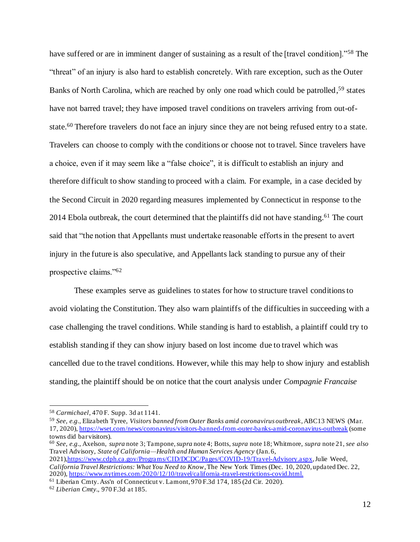have suffered or are in imminent danger of sustaining as a result of the [travel condition]."<sup>58</sup> The "threat" of an injury is also hard to establish concretely. With rare exception, such as the Outer Banks of North Carolina, which are reached by only one road which could be patrolled,<sup>59</sup> states have not barred travel; they have imposed travel conditions on travelers arriving from out-ofstate.<sup>60</sup> Therefore travelers do not face an injury since they are not being refused entry to a state. Travelers can choose to comply with the conditions or choose not to travel. Since travelers have a choice, even if it may seem like a "false choice", it is difficult to establish an injury and therefore difficult to show standing to proceed with a claim. For example, in a case decided by the Second Circuit in 2020 regarding measures implemented by Connecticut in response to the 2014 Ebola outbreak, the court determined that the plaintiffs did not have standing.<sup>61</sup> The court said that "the notion that Appellants must undertake reasonable efforts in the present to avert injury in the future is also speculative, and Appellants lack standing to pursue any of their prospective claims."<sup>62</sup>

These examples serve as guidelines to states for how to structure travel conditionsto avoid violating the Constitution. They also warn plaintiffs of the difficulties in succeeding with a case challenging the travel conditions. While standing is hard to establish, a plaintiff could try to establish standing if they can show injury based on lost income due to travel which was cancelled due to the travel conditions. However, while this may help to show injury and establish standing, the plaintiff should be on notice that the court analysis under *Compagnie Francaise*

<sup>60</sup> *See, e.g.*, Axelson, *supra* note 3; Tampone, *supra* note 4; Botts, *supra* note 18; Whitmore, *supra* note 21, *see also* Travel Advisory, *State of California—Health and Human Services Agency* (Jan. 6,

2021),https://www.cdph.ca.gov/Programs/CID/DCDC/Pages/COVID-19/Travel-Advisory.aspx, Julie Weed, *California Travel Restrictions: What You Need to Know*, The New York Times (Dec. 10, 2020, updated Dec. 22, 2020), https://www.nytimes.com/2020/12/10/travel/california -travel-restrictions-covid.html.

<sup>61</sup> Liberian Cmty.Ass'n of Connecticut v. Lamont, 970 F.3d 174, 185 (2d Cir. 2020).

<sup>58</sup> *Carmichael*, 470 F. Supp. 3d at 1141.

<sup>59</sup> *See, e.g.*, Elizabeth Tyree, *Visitors banned from Outer Banks amid coronavirus outbreak*, ABC13 NEWS (Mar. 17, 2020), https://wset.com/news/coronavirus/visitors-banned-from-outer-banks-amid-coronavirus-outbreak (some towns did bar visitors).

<sup>62</sup> *Liberian Cmty*., 970 F.3d at 185.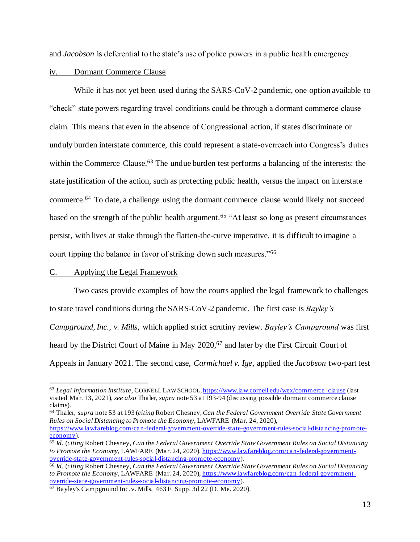and *Jacobson* is deferential to the state's use of police powers in a public health emergency.

#### iv. Dormant Commerce Clause

While it has not yet been used during the SARS-CoV-2 pandemic, one option available to "check" state powers regarding travel conditions could be through a dormant commerce clause claim. This means that even in the absence of Congressional action, if states discriminate or unduly burden interstate commerce, this could represent a state-overreach into Congress's duties within the Commerce Clause.<sup>63</sup> The undue burden test performs a balancing of the interests: the state justification of the action, such as protecting public health, versus the impact on interstate commerce.<sup>64</sup> To date, a challenge using the dormant commerce clause would likely not succeed based on the strength of the public health argument.<sup>65</sup> "At least so long as present circumstances" persist, with lives at stake through the flatten-the-curve imperative, it is difficult to imagine a court tipping the balance in favor of striking down such measures."<sup>66</sup>

# C. Applying the Legal Framework

Two cases provide examples of how the courts applied the legal framework to challenges to state travel conditions during the SARS-CoV-2 pandemic. The first case is *Bayley's Campground, Inc., v. Mills*, which applied strict scrutiny review. *Bayley's Campground* was first heard by the District Court of Maine in May 2020,<sup>67</sup> and later by the First Circuit Court of Appeals in January 2021. The second case, *Carmichael v. Ige*, applied the *Jacobson* two-part test

<sup>64</sup> Thaler, *supra* note 53 at 193 (*citing* Robert Chesney, *Can the Federal Government Override State Government Rules on Social Distancing to Promote the Economy*, LAWFARE (Mar. 24, 2020),

<sup>63</sup> *Legal Information Institute*, CORNELL LAW SCHOOL, https://www.law.cornell.edu/wex/commerce\_clause (last visited Mar. 13, 2021), *see also* Thaler, *supra* note 53 at 193-94 (discussing possible dormant commerce clause claims).

https://www.lawfareblog.com/can-federal-government-override-state-government-rules-social-distancing-promoteeconomy).

<sup>65</sup> *Id.* (*citing* Robert Chesney, *Can the Federal Government Override State Government Rules on Social Distancing to Promote the Economy*, LAWFARE (Mar. 24, 2020), https://www.lawfareblog.com/can-federal-governmentoverride-state-government-rules-social-distancing-promote-economy).

<sup>66</sup> *Id.* (*citing* Robert Chesney, *Can the Federal Government Override State Government Rules on Social Distancing to Promote the Economy*, LAWFARE (Mar. 24, 2020), https://www.lawfareblog.com/can-federal-governmentoverride-state-government-rules-social-distancing-promote-economy).

<sup>67</sup> Bayley's Campground Inc. v. Mills, 463 F. Supp. 3d 22 (D. Me. 2020).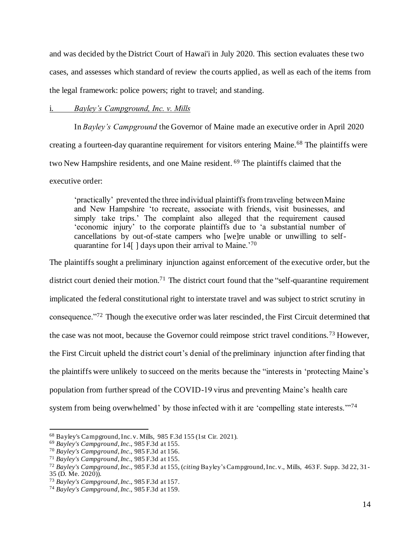and was decided by the District Court of Hawai'i in July 2020. This section evaluates these two cases, and assesses which standard of review the courts applied, as well as each of the items from the legal framework: police powers; right to travel; and standing.

# i. *Bayley's Campground, Inc. v. Mills*

In *Bayley's Campground* the Governor of Maine made an executive order in April 2020 creating a fourteen-day quarantine requirement for visitors entering Maine.<sup>68</sup> The plaintiffs were two New Hampshire residents, and one Maine resident. <sup>69</sup> The plaintiffs claimed that the executive order:

'practically' prevented the three individual plaintiffs from traveling between Maine and New Hampshire 'to recreate, associate with friends, visit businesses, and simply take trips.' The complaint also alleged that the requirement caused 'economic injury' to the corporate plaintiffs due to 'a substantial number of cancellations by out-of-state campers who [we]re unable or unwilling to selfquarantine for 14[ ] days upon their arrival to Maine.'<sup>70</sup>

The plaintiffs sought a preliminary injunction against enforcement of the executive order, but the district court denied their motion.<sup>71</sup> The district court found that the "self-quarantine requirement implicated the federal constitutional right to interstate travel and was subject to strict scrutiny in consequence."<sup>72</sup> Though the executive order was later rescinded, the First Circuit determined that the case was not moot, because the Governor could reimpose strict travel conditions.<sup>73</sup> However, the First Circuit upheld the district court's denial of the preliminary injunction after finding that the plaintiffs were unlikely to succeed on the merits because the "interests in 'protecting Maine's population from further spread of the COVID-19 virus and preventing Maine's health care system from being overwhelmed' by those infected with it are 'compelling state interests."<sup>74</sup>

<sup>68</sup> Bayley's Campground,Inc. v. Mills, 985 F.3d 155 (1st Cir. 2021).

<sup>69</sup> *Bayley's Campground,Inc.*, 985 F.3d at 155.

<sup>70</sup> *Bayley's Campground,Inc.*, 985 F.3d at 156.

<sup>71</sup> *Bayley's Campground,Inc.*, 985 F.3d at 155.

<sup>72</sup> *Bayley's Campground,Inc.*, 985 F.3d at 155, (*citing* Bayley's Campground, Inc. v., Mills, 463 F. Supp. 3d 22, 31- 35 (D. Me. 2020)).

<sup>73</sup> *Bayley's Campground,Inc.*, 985 F.3d at 157.

<sup>74</sup> *Bayley's Campground,Inc.*, 985 F.3d at 159.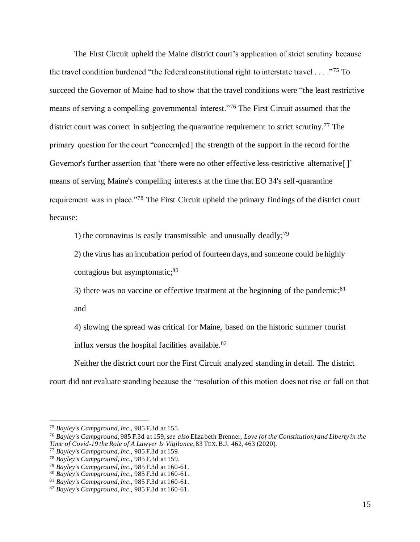The First Circuit upheld the Maine district court's application of strict scrutiny because the travel condition burdened "the federal constitutional right to interstate travel  $\dots$ ."<sup>75</sup> To succeed the Governor of Maine had to show that the travel conditions were "the least restrictive means of serving a compelling governmental interest."<sup>76</sup> The First Circuit assumed that the district court was correct in subjecting the quarantine requirement to strict scrutiny.<sup>77</sup> The primary question for the court "concern[ed] the strength of the support in the record for the Governor's further assertion that 'there were no other effective less-restrictive alternative[ ]' means of serving Maine's compelling interests at the time that EO 34's self-quarantine requirement was in place."<sup>78</sup> The First Circuit upheld the primary findings of the district court because:

1) the coronavirus is easily transmissible and unusually deadly;<sup>79</sup>

2) the virus has an incubation period of fourteen days, and someone could be highly contagious but asymptomatic;<sup>80</sup>

3) there was no vaccine or effective treatment at the beginning of the pandemic; $81$ and

4) slowing the spread was critical for Maine, based on the historic summer tourist influx versus the hospital facilities available.  $82$ 

Neither the district court nor the First Circuit analyzed standing in detail. The district court did not evaluate standing because the "resolution of this motion does not rise or fall on that

<sup>75</sup> *Bayley's Campground,Inc.*, 985 F.3d at 155.

<sup>76</sup> *Bayley's Campground*, 985 F.3d at 159, *see also* Elizabeth Brenner, *Love (of the Constitution) and Liberty in the Time of Covid-19 the Role of A Lawyer Is Vigilance*, 83 TEX.B.J. 462, 463 (2020).

<sup>77</sup> *Bayley's Campground,Inc.*, 985 F.3d at 159.

<sup>78</sup> *Bayley's Campground,Inc.*, 985 F.3d at 159.

<sup>79</sup> *Bayley's Campground,Inc.*, 985 F.3d at 160-61.

<sup>80</sup> *Bayley's Campground,Inc.*, 985 F.3d at 160-61.

<sup>81</sup> *Bayley's Campground,Inc.*, 985 F.3d at 160-61.

<sup>82</sup> *Bayley's Campground,Inc.*, 985 F.3d at 160-61.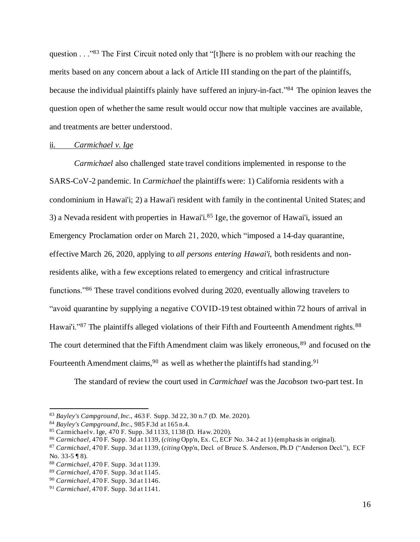question . . ."<sup>83</sup> The First Circuit noted only that "[t]here is no problem with our reaching the merits based on any concern about a lack of Article III standing on the part of the plaintiffs, because the individual plaintiffs plainly have suffered an injury-in-fact."<sup>84</sup> The opinion leaves the question open of whether the same result would occur now that multiple vaccines are available, and treatments are better understood.

#### ii. *Carmichael v. Ige*

*Carmichael* also challenged state travel conditions implemented in response to the SARS-CoV-2 pandemic. In *Carmichael* the plaintiffs were: 1) California residents with a condominium in Hawai'i; 2) a Hawai'i resident with family in the continental United States; and 3) a Nevada resident with properties in Hawai'i. <sup>85</sup> Ige, the governor of Hawai'i, issued an Emergency Proclamation order on March 21, 2020, which "imposed a 14-day quarantine, effective March 26, 2020, applying to *all persons entering Hawai'i*, both residents and nonresidents alike, with a few exceptions related to emergency and critical infrastructure functions."<sup>86</sup> These travel conditions evolved during 2020, eventually allowing travelers to "avoid quarantine by supplying a negative COVID-19 test obtained within 72 hours of arrival in Hawai'i."<sup>87</sup> The plaintiffs alleged violations of their Fifth and Fourteenth Amendment rights.<sup>88</sup> The court determined that the Fifth Amendment claim was likely erroneous,<sup>89</sup> and focused on the Fourteenth Amendment claims, <sup>90</sup> as well as whether the plaintiffs had standing.<sup>91</sup>

The standard of review the court used in *Carmichael* was the *Jacobson* two-part test. In

<sup>83</sup> *Bayley's Campground,Inc.*, 463 F. Supp. 3d 22, 30 n.7 (D. Me. 2020).

<sup>84</sup> *Bayley's Campground,Inc.*, 985 F.3d at 165 n.4.

<sup>85</sup> Carmichaelv. Ige, 470 F. Supp. 3d 1133, 1138 (D. Haw. 2020).

<sup>86</sup> *Carmichael*, 470 F. Supp. 3d at 1139, (*citing* Opp'n, Ex. C, ECF No. 34-2 at 1) (emphasis in original).

<sup>87</sup> *Carmichael*, 470 F. Supp. 3d at 1139, (*citing* Opp'n, Decl. of Bruce S. Anderson, Ph.D ("Anderson Decl."), ECF No. 33-5 ¶ 8).

<sup>88</sup> *Carmichael*, 470 F. Supp. 3d at 1139.

<sup>89</sup> *Carmichael*, 470 F. Supp. 3d at 1145.

<sup>90</sup> *Carmichael*, 470 F. Supp. 3d at 1146.

<sup>91</sup> *Carmichael*, 470 F. Supp. 3d at 1141.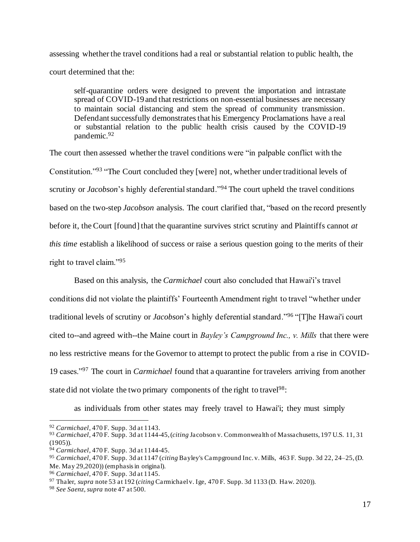assessing whether the travel conditions had a real or substantial relation to public health, the court determined that the:

self-quarantine orders were designed to prevent the importation and intrastate spread of COVID-19 and that restrictions on non-essential businesses are necessary to maintain social distancing and stem the spread of community transmission. Defendant successfully demonstrates that his Emergency Proclamations have a real or substantial relation to the public health crisis caused by the COVID-19 pandemic.<sup>92</sup>

The court then assessed whether the travel conditions were "in palpable conflict with the Constitution."<sup>93</sup> "The Court concluded they [were] not, whether under traditional levels of scrutiny or *Jacobson*'s highly deferential standard."<sup>94</sup> The court upheld the travel conditions based on the two-step *Jacobson* analysis. The court clarified that, "based on the record presently before it, the Court [found] that the quarantine survives strict scrutiny and Plaintiffs cannot *at this time* establish a likelihood of success or raise a serious question going to the merits of their right to travel claim."<sup>95</sup>

Based on this analysis, the *Carmichael* court also concluded that Hawai'i's travel conditions did not violate the plaintiffs' Fourteenth Amendment right to travel "whether under traditional levels of scrutiny or *Jacobson*'s highly deferential standard."<sup>96</sup> "[T]he Hawai'i court cited to--and agreed with--the Maine court in *Bayley's Campground Inc., v. Mills* that there were no less restrictive means for the Governor to attempt to protect the public from a rise in COVID-19 cases."<sup>97</sup> The court in *Carmichael* found that a quarantine for travelers arriving from another state did not violate the two primary components of the right to travel<sup>98</sup>:

as individuals from other states may freely travel to Hawai'i; they must simply

<sup>92</sup> *Carmichael*, 470 F. Supp. 3d at 1143.

<sup>93</sup> *Carmichael*, 470 F. Supp. 3d at 1144-45, (*citing* Jacobson v. Commonwealth of Massachusetts, 197 U.S. 11, 31  $(1905)$ ).

<sup>94</sup> *Carmichael*, 470 F. Supp. 3d at 1144-45.

<sup>95</sup> *Carmichael*, 470 F. Supp. 3d at 1147 (*citing* Bayley's Campground Inc. v. Mills, 463 F. Supp. 3d 22, 24–25, (D. Me. May 29,2020)) (emphasis in original).

<sup>96</sup> *Carmichael*, 470 F. Supp. 3d at 1145.

<sup>97</sup> Thaler, *supra* note 53 at 192 (*citing* Carmichaelv. Ige, 470 F. Supp. 3d 1133 (D. Haw. 2020)).

<sup>98</sup> *See Saenz*, *supra* note 47 at 500.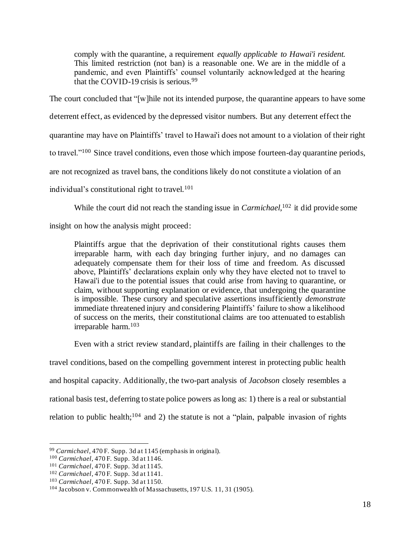comply with the quarantine, a requirement *equally applicable to Hawai'i resident.* This limited restriction (not ban) is a reasonable one. We are in the middle of a pandemic, and even Plaintiffs' counsel voluntarily acknowledged at the hearing that the COVID-19 crisis is serious.<sup>99</sup>

The court concluded that "[w]hile not its intended purpose, the quarantine appears to have some deterrent effect, as evidenced by the depressed visitor numbers. But any deterrent effect the quarantine may have on Plaintiffs' travel to Hawai'i does not amount to a violation of their right to travel."<sup>100</sup> Since travel conditions, even those which impose fourteen-day quarantine periods, are not recognized as travel bans, the conditions likely do not constitute a violation of an individual's constitutional right to travel. $101$ 

While the court did not reach the standing issue in *Carmichael*, <sup>102</sup> it did provide some

insight on how the analysis might proceed:

Plaintiffs argue that the deprivation of their constitutional rights causes them irreparable harm, with each day bringing further injury, and no damages can adequately compensate them for their loss of time and freedom. As discussed above, Plaintiffs' declarations explain only why they have elected not to travel to Hawai'i due to the potential issues that could arise from having to quarantine, or claim, without supporting explanation or evidence, that undergoing the quarantine is impossible. These cursory and speculative assertions insufficiently *demonstrate* immediate threatened injury and considering Plaintiffs' failure to show a likelihood of success on the merits, their constitutional claims are too attenuated to establish irreparable harm.<sup>103</sup>

Even with a strict review standard, plaintiffs are failing in their challenges to the

travel conditions, based on the compelling government interest in protecting public health and hospital capacity. Additionally, the two-part analysis of *Jacobson* closely resembles a rational basis test, deferring to state police powers as long as: 1) there is a real or substantial relation to public health;<sup>104</sup> and 2) the statute is not a "plain, palpable invasion of rights

<sup>99</sup> *Carmichael*, 470 F. Supp. 3d at 1145 (emphasis in original).

<sup>100</sup> *Carmichael*, 470 F. Supp. 3d at 1146.

<sup>101</sup> *Carmichael*, 470 F. Supp. 3d at 1145.

<sup>102</sup> *Carmichael*, 470 F. Supp. 3d at 1141.

<sup>103</sup> *Carmichael*, 470 F. Supp. 3d at 1150.

<sup>104</sup> Jacobson v. Commonwealth of Massachusetts, 197 U.S. 11, 31 (1905).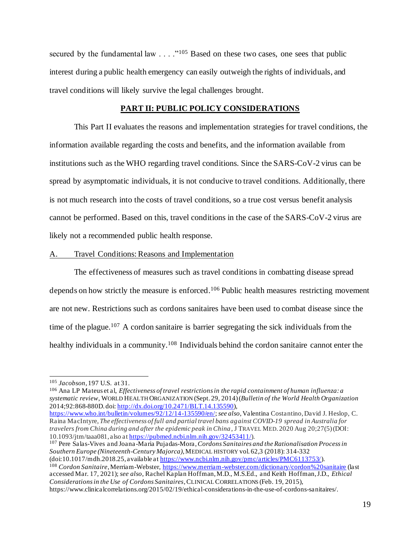secured by the fundamental law . . . ."<sup>105</sup> Based on these two cases, one sees that public interest during a public health emergency can easily outweigh the rights of individuals, and travel conditions will likely survive the legal challenges brought.

#### **PART II: PUBLIC POLICY CONSIDERATIONS**

This Part II evaluates the reasons and implementation strategies for travel conditions, the information available regarding the costs and benefits, and the information available from institutions such as the WHO regarding travel conditions. Since the SARS-CoV-2 virus can be spread by asymptomatic individuals, it is not conducive to travel conditions. Additionally, there is not much research into the costs of travel conditions, so a true cost versus benefit analysis cannot be performed. Based on this, travel conditions in the case of the SARS-CoV-2 virus are likely not a recommended public health response.

#### A. Travel Conditions: Reasons and Implementation

The effectiveness of measures such as travel conditions in combatting disease spread depends on how strictly the measure is enforced.<sup>106</sup> Public health measures restricting movement are not new. Restrictions such as cordons sanitaires have been used to combat disease since the time of the plague.<sup>107</sup> A cordon sanitaire is barrier segregating the sick individuals from the healthy individuals in a community.<sup>108</sup> Individuals behind the cordon sanitaire cannot enter the

<sup>106</sup> Ana LP Mateus et al, *Effectiveness of travel restrictions in the rapid containment of human influenza: a systematic review*, WORLD HEALTH ORGANIZATION (Sept. 29, 2014) (*Bulletin of the World Health Organization* 2014;92:868-880D. doi: http://dx.doi.org/10.2471/BLT.14.135590),

https://www.who.int/bulletin/volumes/92/12/14-135590/en/; *see also*, Valentina Costantino, David J. Heslop, C. Raina MacIntyre, *The effectiveness of full and partial travel bans against COVID-19 spread in Australia for travelers from China during and after the epidemic peak in China*, J TRAVEL MED. 2020 Aug 20;27(5) (DOI: 10.1093/jtm/taaa081, also at https://pubmed.ncbi.nlm.nih.gov/32453411/).

<sup>107</sup> Pere Salas-Vives and Joana -Maria Pujadas-Mora, *Cordons Sanitaires and the Rationalisation Process in Southern Europe (Nineteenth-Century Majorca)*, MEDICAL HISTORY vol. 62,3 (2018): 314-332 (doi:10.1017/mdh.2018.25, available at https://www.ncbi.nlm.nih.gov/pmc/articles/PMC6113753/).

<sup>108</sup> Cordon Sanitaire, Merriam-Webster, https://www.merriam-webster.com/dictionary/cordon%20sanitaire (last accessed Mar. 17, 2021); *see also*, Rachel Kaplan Hoffman, M.D., M.S.Ed., and Keith Hoffman, J.D., *Ethical Considerations in the Use of Cordons Sanitaires*, CLINICAL CORRELATIONS (Feb. 19, 2015), https://www.clinicalcorrelations.org/2015/02/19/ethical-considerations-in-the-use-of-cordons-sanitaires/.

<sup>105</sup> *Jacobson*, 197 U.S. at 31.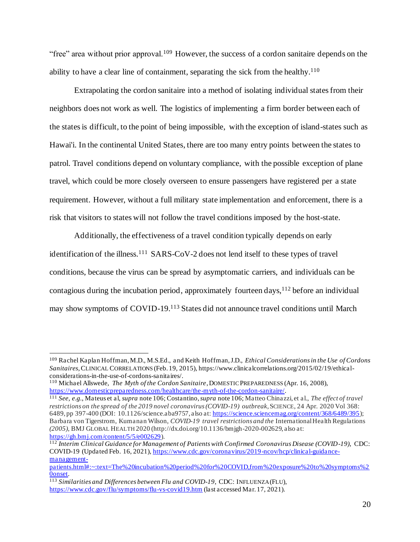"free" area without prior approval.<sup>109</sup> However, the success of a cordon sanitaire depends on the ability to have a clear line of containment, separating the sick from the healthy.<sup>110</sup>

Extrapolating the cordon sanitaire into a method of isolating individual states from their neighbors does not work as well. The logistics of implementing a firm border between each of the states is difficult, to the point of being impossible, with the exception of island-states such as Hawai'i. In the continental United States, there are too many entry points between the states to patrol. Travel conditions depend on voluntary compliance, with the possible exception of plane travel, which could be more closely overseen to ensure passengers have registered per a state requirement. However, without a full military state implementation and enforcement, there is a risk that visitors to states will not follow the travel conditions imposed by the host-state.

Additionally, the effectiveness of a travel condition typically depends on early identification of the illness.<sup>111</sup> SARS-CoV-2 does not lend itself to these types of travel conditions, because the virus can be spread by asymptomatic carriers, and individuals can be contagious during the incubation period, approximately fourteen days,  $112$  before an individual may show symptoms of COVID-19.<sup>113</sup> States did not announce travel conditions until March

<sup>109</sup> Rachel Kaplan Hoffman, M.D., M.S.Ed., and Keith Hoffman, J.D., *Ethical Considerations in the Use of Cordons Sanitaires*, CLINICAL CORRELATIONS (Feb. 19, 2015), https://www.clinicalcorrelations.org/2015/02/19/ethicalconsiderations-in-the-use-of-cordons-sanitaires/.

<sup>110</sup> Michael Allswede, *The Myth of the Cordon Sanitaire*, DOMESTIC PREPAREDNESS (Apr. 16, 2008), https://www.domesticpreparedness.com/healthcare/the-myth-of-the-cordon-sanitaire/.

<sup>111</sup> *See, e.g.*, Mateus et al, *supra* note 106; Costantino, *supra* note 106; Matteo Chinazzi, et al., *The effect of travel restrictions on the spread of the 2019 novel coronavirus (COVID-19) outbreak*, SCIENCE, 24 Apr. 2020 Vol 368: 6489, pp 397-400 (DOI: 10.1126/science.aba9757, also at: https://science.sciencemag.org/content/368/6489/395); Barbara von Tigerstrom, Kumanan Wilson, *COVID-19 travel restrictions and the* International Health Regulations *(2005)*, BMJ GLOBAL HEALTH 2020 (http://dx.doi.org/10.1136/bmjgh-2020-002629, also at: https://gh.bmj.com/content/5/5/e002629).

<sup>112</sup> *Interim Clinical Guidance for Management of Patients with Confirmed Coronavirus Disease (COVID-19)*, CDC: COVID-19 (Updated Feb. 16, 2021), https://www.cdc.gov/coronavirus/2019-ncov/hcp/clinical-guidancemanagement-

patients.html#:~:text=The%20incubation%20period%20for%20COVID,from%20exposure%20to%20symptoms%2 0onset.

<sup>113</sup> *Similarities and Differences between Flu and COVID-19*, CDC: INFLUENZA (FLU), https://www.cdc.gov/flu/symptoms/flu-vs-covid19.htm (last accessed Mar. 17, 2021).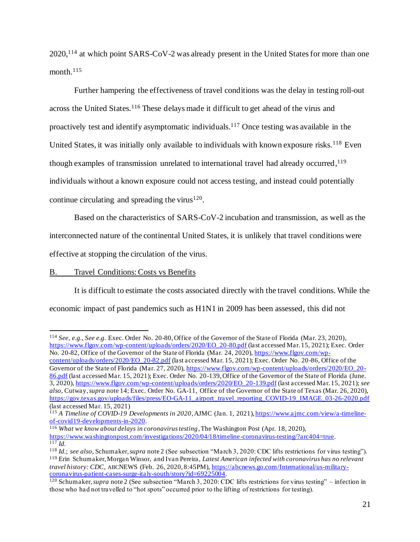2020,<sup>114</sup> at which point SARS-CoV-2 was already present in the United States for more than one month.<sup>115</sup>

Further hampering the effectiveness of travel conditions was the delay in testing roll-out across the United States.<sup>116</sup> These delays made it difficult to get ahead of the virus and proactively test and identify asymptomatic individuals.<sup>117</sup> Once testing was available in the United States, it was initially only available to individuals with known exposure risks.<sup>118</sup> Even though examples of transmission unrelated to international travel had already occurred, 119 individuals without a known exposure could not access testing, and instead could potentially continue circulating and spreading the virus $120$ .

Based on the characteristics of SARS-CoV-2 incubation and transmission, as well as the interconnected nature of the continental United States, it is unlikely that travel conditions were effective at stopping the circulation of the virus.

# B. Travel Conditions: Costs vs Benefits

It is difficult to estimate the costs associated directly with the travel conditions. While the economic impact of past pandemics such as H1N1 in 2009 has been assessed, this did not

<sup>114</sup> *See, e.g.*, *See e.g.* Exec. Order No. 20-80, Office of the Governor of the State of Florida (Mar. 23, 2020), https://www.flgov.com/wp-content/uploads/orders/2020/EO\_20-80.pdf (last accessed Mar. 15, 2021); Exec. Order No. 20-82, Office of the Governor of the State of Florida (Mar. 24, 2020), https://www.flgov.com/wp-

content/uploads/orders/2020/EO\_20-82.pdf (last accessed Mar. 15, 2021); Exec. Order No. 20-86, Office of the Governor of the State of Florida (Mar. 27, 2020), https://www.flgov.com/wp-content/uploads/orders/2020/EO\_20-86.pdf (last accessed Mar. 15, 2021); Exec. Order No. 20-139, Office of the Governor of the State of Florida (June. 3, 2020), https://www.flgov.com/wp-content/uploads/orders/2020/EO\_20-139.pdf (last accessed Mar. 15, 2021); *see also*, Cutway, *supra* note 14; Exec. Order No. GA-11, Office of the Governor of the State of Texas (Mar. 26, 2020), https://gov.texas.gov/uploads/files/press/EO-GA-11\_airport\_travel\_reporting\_COVID-19\_IMAGE\_03-26-2020.pdf (last accessed Mar. 15, 2021)

<sup>115</sup> *A Timeline of COVID-19 Developments in 2020*, AJMC (Jan. 1, 2021), https://www.ajmc.com/view/a-timelineof-covid19-developments-in-2020.

<sup>116</sup> *What we know about delays in coronavirus testing*, The Washington Post (Apr. 18, 2020), https://www.washingtonpost.com/investigations/2020/04/18/timeline-coronavirus-testing/?arc404=true.  $\overline{117}$  *Id.* 

<sup>118</sup> *Id.*; *see also*, Schumaker, *supra* note 2 (See subsection "March 3, 2020: CDC lifts restrictions for virus testing"). <sup>119</sup> Erin Schumaker, Morgan Winsor, and Ivan Pereira, *Latest American infected with coronavirus has no relevant travel history: CDC*, ABCNEWS (Feb. 26, 2020, 8:45PM), https://abcnews.go.com/International/us-militarycoronavirus-patient-cases-surge-italy-south/story?id=69225004.

<sup>120</sup> Schumaker, *supra* note 2 (See subsection "March 3, 2020: CDC lifts restrictions for virus testing" – infection in those who had not travelled to "hot spots" occurred prior to the lifting of restrictions for testing).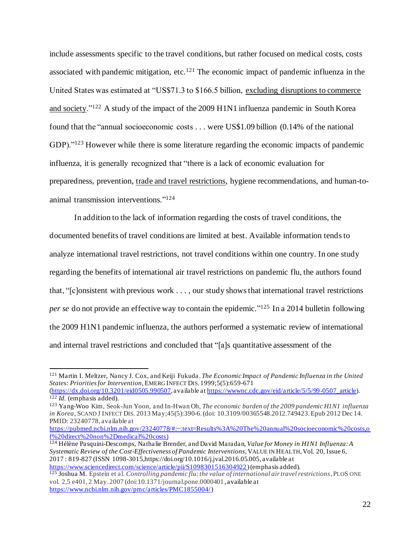include assessments specific to the travel conditions, but rather focused on medical costs, costs associated with pandemic mitigation, etc.<sup>121</sup> The economic impact of pandemic influenza in the United States was estimated at "US\$71.3 to \$166.5 billion, excluding disruptions to commerce and society."<sup>122</sup> A study of the impact of the 2009 H1N1 influenza pandemic in South Korea found that the "annual socioeconomic costs . . . were US\$1.09 billion (0.14% of the national GDP)."<sup>123</sup> However while there is some literature regarding the economic impacts of pandemic influenza, it is generally recognized that "there is a lack of economic evaluation for preparedness, prevention, trade and travel restrictions, hygiene recommendations, and human-toanimal transmission interventions." 124

In addition to the lack of information regarding the costs of travel conditions, the documented benefits of travel conditions are limited at best. Available information tends to analyze international travel restrictions, not travel conditions within one country. In one study regarding the benefits of international air travel restrictions on pandemic flu, the authors found that, "[c]onsistent with previous work . . . , our study shows that international travel restrictions per se do not provide an effective way to contain the epidemic."<sup>125</sup> In a 2014 bulletin following the 2009 H1N1 pandemic influenza, the authors performed a systematic review of international and internal travel restrictions and concluded that "[a]s quantitative assessment of the

<sup>121</sup> Martin I. Meltzer, Nancy J. Cox, and Keiji Fukuda. *The Economic Impact of Pandemic Influenza in the United States: Priorities for Intervention,* EMERG INFECT DIS. 1999;5(5):659-671

<sup>(</sup>https://dx.doi.org/10.3201/eid0505.990507, available at https://wwwnc.cdc.gov/eid/article/5/5/99-0507\_article). <sup>122</sup> *Id.* (emphasis added).

<sup>123</sup> Yang-Woo Kim, Seok-Jun Yoon, and In-Hwan Oh, *The economic burden of the 2009 pandemic H1N1 influenza in Korea*, SCAND J INFECT DIS. 2013 May;45(5):390-6. (doi: 10.3109/00365548.2012.749423. Epub 2012 Dec 14. PMID: 23240778, available at

https://pubmed.ncbi.nlm.nih.gov/23240778/#:~:text=Results%3A%20The%20annual%20socioeconomic%20costs,o f%20direct%20non%2Dmedical%20costs)

<sup>124</sup> Hélène Pasquini-Descomps, Nathalie Brender, and David Maradan, *Value for Money in H1N1 Influenza: A Systematic Review of the Cost-Effectiveness of Pandemic Interventions*, VALUE IN HEALTH, Vol. 20, Issue 6, 2017 : 819-827 (ISSN 1098-3015,https://doi.org/10.1016/j.jval.2016.05.005, available at https://www.sciencedirect.com/science/article/pii/S1098301516304922) (emphasis added).

<sup>125</sup> Joshua M. Epstein et al. *Controlling pandemic flu: the value of international air travel restrictions*, PLOS ONE vol. 2,5 e401, 2 May. 2007 (doi:10.1371/journal.pone.0000401, available at https://www.ncbi.nlm.nih.gov/pmc/articles/PMC1855004/)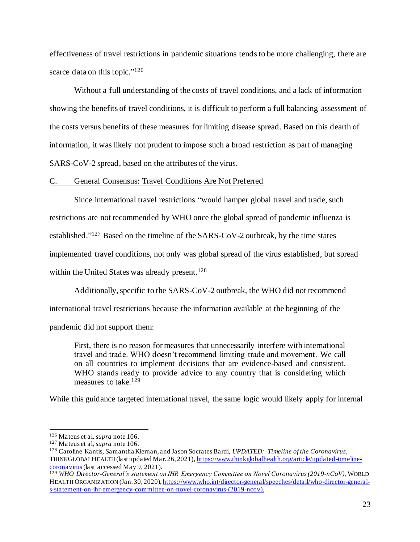effectiveness of travel restrictions in pandemic situations tends to be more challenging, there are scarce data on this topic."<sup>126</sup>

Without a full understanding of the costs of travel conditions, and a lack of information showing the benefits of travel conditions, it is difficult to perform a full balancing assessment of the costs versus benefits of these measures for limiting disease spread. Based on this dearth of information, it was likely not prudent to impose such a broad restriction as part of managing SARS-CoV-2 spread, based on the attributes of the virus.

#### C. General Consensus: Travel Conditions Are Not Preferred

Since international travel restrictions "would hamper global travel and trade, such restrictions are not recommended by WHO once the global spread of pandemic influenza is established."<sup>127</sup> Based on the timeline of the SARS-CoV-2 outbreak, by the time states implemented travel conditions, not only was global spread of the virus established, but spread within the United States was already present. $128$ 

Additionally, specific to the SARS-CoV-2 outbreak, the WHO did not recommend

international travel restrictions because the information available at the beginning of the

pandemic did not support them:

First, there is no reason for measures that unnecessarily interfere with international travel and trade. WHO doesn't recommend limiting trade and movement. We call on all countries to implement decisions that are evidence-based and consistent. WHO stands ready to provide advice to any country that is considering which measures to take.<sup>129</sup>

While this guidance targeted international travel, the same logic would likely apply for internal

<sup>126</sup> Mateus et al, *supra* note 106.

<sup>127</sup> Mateus et al, *supra* note 106.

<sup>128</sup> Caroline Kantis, Samantha Kiernan, and Jason Socrates Bardi, *UPDATED: Timeline of the Coronavirus*, THINKGLOBALHEALTH (last updated Mar. 26, 2021), https://www.thinkglobalhealth.org/article/updated-timelinecoronavirus (last accessed May 9, 2021).

<sup>129</sup> *WHO Director-General's statement on IHR Emergency Committee on Novel Coronavirus (2019-nCoV)*, WORLD HEALTH ORGANIZATION (Jan. 30, 2020), https://www.who.int/director-general/speeches/detail/who-director-generals-statement-on-ihr-emergency-committee-on-novel-coronavirus-(2019-ncov).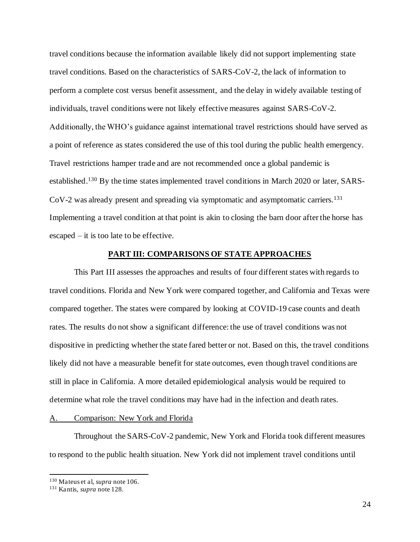travel conditions because the information available likely did not support implementing state travel conditions. Based on the characteristics of SARS-CoV-2, the lack of information to perform a complete cost versus benefit assessment, and the delay in widely available testing of individuals, travel conditions were not likely effective measures against SARS-CoV-2. Additionally, the WHO's guidance against international travel restrictions should have served as a point of reference as states considered the use of this tool during the public health emergency. Travel restrictions hamper trade and are not recommended once a global pandemic is established.<sup>130</sup> By the time states implemented travel conditions in March 2020 or later, SARS-CoV-2 was already present and spreading via symptomatic and asymptomatic carriers.<sup>131</sup> Implementing a travel condition at that point is akin to closing the barn door after the horse has escaped – it is too late to be effective.

#### **PART III: COMPARISONS OF STATE APPROACHES**

This Part III assesses the approaches and results of four different states with regards to travel conditions. Florida and New York were compared together, and California and Texas were compared together. The states were compared by looking at COVID-19 case counts and death rates. The results do not show a significant difference: the use of travel conditions was not dispositive in predicting whether the state fared better or not. Based on this, the travel conditions likely did not have a measurable benefit for state outcomes, even though travel conditions are still in place in California. A more detailed epidemiological analysis would be required to determine what role the travel conditions may have had in the infection and death rates.

# A. Comparison: New York and Florida

Throughout the SARS-CoV-2 pandemic, New York and Florida took different measures to respond to the public health situation. New York did not implement travel conditions until

<sup>130</sup> Mateus et al, *supra* note 106.

<sup>131</sup> Kantis, *supra* note 128.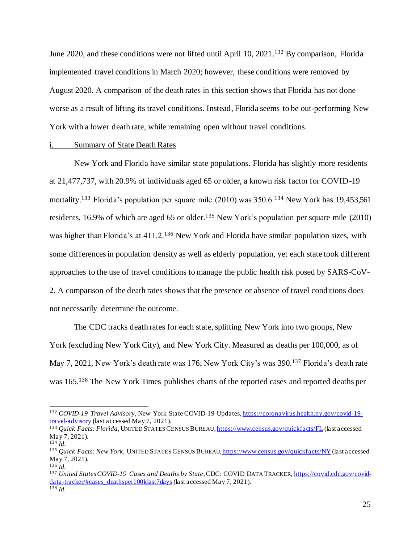June 2020, and these conditions were not lifted until April 10, 2021.<sup>132</sup> By comparison, Florida implemented travel conditions in March 2020; however, these conditions were removed by August 2020. A comparison of the death rates in this section shows that Florida has not done worse as a result of lifting its travel conditions. Instead, Florida seems to be out-performing New York with a lower death rate, while remaining open without travel conditions.

#### i. Summary of State Death Rates

New York and Florida have similar state populations. Florida has slightly more residents at 21,477,737, with 20.9% of individuals aged 65 or older, a known risk factor for COVID-19 mortality.<sup>133</sup> Florida's population per square mile (2010) was 350.6.<sup>134</sup> New York has 19,453,561 residents, 16.9% of which are aged 65 or older.<sup>135</sup> New York's population per square mile  $(2010)$ was higher than Florida's at 411.2.<sup>136</sup> New York and Florida have similar population sizes, with some differences in population density as well as elderly population, yet each state took different approaches to the use of travel conditions to manage the public health risk posed by SARS-CoV-2. A comparison of the death rates shows that the presence or absence of travel conditions does not necessarily determine the outcome.

The CDC tracks death rates for each state, splitting New York into two groups, New York (excluding New York City), and New York City. Measured as deaths per 100,000, as of May 7, 2021, New York's death rate was 176; New York City's was 390.<sup>137</sup> Florida's death rate was 165.<sup>138</sup> The New York Times publishes charts of the reported cases and reported deaths per

<sup>132</sup> *COVID-19 Travel Advisory*, New York State COVID-19 Updates, https://coronavirus.health.ny.gov/covid-19 travel-advisory (last accessed May 7, 2021).

<sup>133</sup> *Quick Facts: Florida*, UNITED STATES CENSUS BUREAU, https://www.census.gov/quickfacts/FL (last accessed May 7, 2021). <sup>134</sup> *Id.*

<sup>135</sup> *Quick Facts: New York*, UNITED STATES CENSUS BUREAU, https://www.census.gov/quickfacts/NY (last accessed May 7, 2021).

<sup>136</sup> *Id.*

<sup>137</sup> *United States COVID-19 Cases and Deaths by State*, CDC: COVID DATA TRACKER, https://covid.cdc.gov/coviddata-tracker/#cases\_deathsper100klast7days (last accessed May 7, 2021). <sup>138</sup> *Id.*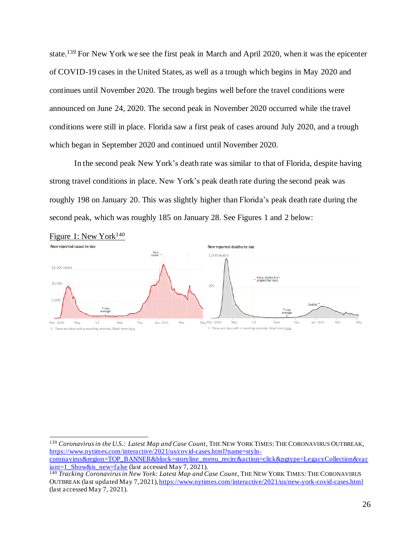state.<sup>139</sup> For New York we see the first peak in March and April 2020, when it was the epicenter of COVID-19 cases in the United States, as well as a trough which begins in May 2020 and continues until November 2020. The trough begins well before the travel conditions were announced on June 24, 2020. The second peak in November 2020 occurred while the travel conditions were still in place. Florida saw a first peak of cases around July 2020, and a trough which began in September 2020 and continued until November 2020.

In the second peak New York's death rate was similar to that of Florida, despite having strong travel conditions in place. New York's peak death rate during the second peak was roughly 198 on January 20. This was slightly higher than Florida's peak death rate during the second peak, which was roughly 185 on January 28. See Figures 1 and 2 below:



<sup>139</sup> *Coronavirus in the U.S.: Latest Map and Case Count*, THE NEW YORK TIMES: THE CORONAVIRUS OUTBREAK, https://www.nytimes.com/interactive/2021/us/covid-cases.html?name=stylncoronavirus&region=TOP\_BANNER&block=storyline\_menu\_recirc&action=click&pgtype=LegacyCollection&var  $iant=1$  Show&is new=false (last accessed May 7, 2021).</u>

<sup>140</sup> *Tracking Coronavirusin New York: Latest Map and Case Count*, THE NEW YORK TIMES: THE CORONAVIRUS OUTBREAK (last updated May 7, 2021), https://www.nytimes.com/interactive/2021/us/new-york-covid-cases.html (last accessed May 7, 2021).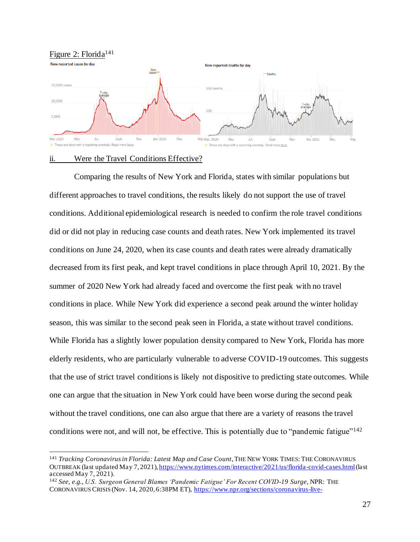Figure 2: Florida<sup>141</sup>



#### ii. Were the Travel Conditions Effective?

Comparing the results of New York and Florida, states with similar populations but different approaches to travel conditions, the results likely do not support the use of travel conditions. Additional epidemiological research is needed to confirm the role travel conditions did or did not play in reducing case counts and death rates. New York implemented its travel conditions on June 24, 2020, when its case counts and death rates were already dramatically decreased from its first peak, and kept travel conditions in place through April 10, 2021. By the summer of 2020 New York had already faced and overcome the first peak with no travel conditions in place. While New York did experience a second peak around the winter holiday season, this was similar to the second peak seen in Florida, a state without travel conditions. While Florida has a slightly lower population density compared to New York, Florida has more elderly residents, who are particularly vulnerable to adverse COVID-19 outcomes. This suggests that the use of strict travel conditionsis likely not dispositive to predicting state outcomes. While one can argue that the situation in New York could have been worse during the second peak without the travel conditions, one can also argue that there are a variety of reasons the travel conditions were not, and will not, be effective. This is potentially due to "pandemic fatigue"<sup>142</sup>

<sup>&</sup>lt;sup>141</sup> Tracking Coronavirus in Florida: Latest Map and Case Count, THE NEW YORK TIMES: THE CORONAVIRUS OUTBREAK (last updated May 7, 2021), https://www.nytimes.com/interactive/2021/us/florida-covid-cases.html(last accessed May  $7, 2021$ ).

<sup>142</sup> *See, e.g.*, *U.S. Surgeon General Blames 'Pandemic Fatigue' For Recent COVID-19 Surge*, NPR: THE CORONAVIRUS CRISIS (Nov. 14, 2020, 6:38PM ET), https://www.npr.org/sections/coronavirus-live-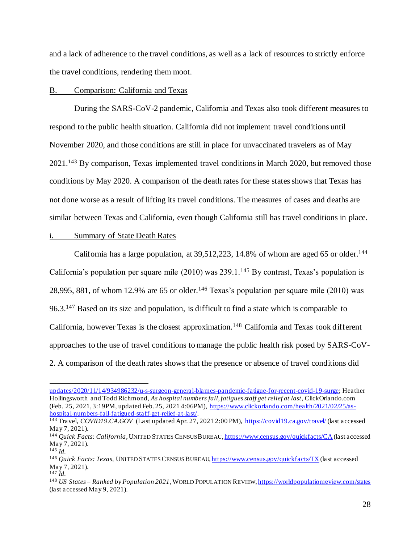and a lack of adherence to the travel conditions, as well as a lack of resources to strictly enforce the travel conditions, rendering them moot.

#### B. Comparison: California and Texas

During the SARS-CoV-2 pandemic, California and Texas also took different measures to respond to the public health situation. California did not implement travel conditions until November 2020, and those conditions are still in place for unvaccinated travelers as of May 2021.<sup>143</sup> By comparison, Texas implemented travel conditionsin March 2020, but removed those conditions by May 2020. A comparison of the death rates for these states shows that Texas has not done worse as a result of lifting its travel conditions. The measures of cases and deaths are similar between Texas and California, even though California still has travel conditions in place.

#### i. Summary of State Death Rates

California has a large population, at 39,512,223, 14.8% of whom are aged 65 or older.<sup>144</sup> California's population per square mile  $(2010)$  was 239.1.<sup>145</sup> By contrast, Texas's population is 28,995, 881, of whom 12.9% are 65 or older.<sup>146</sup> Texas's population per square mile (2010) was 96.3.<sup>147</sup> Based on its size and population, is difficult to find a state which is comparable to California, however Texas is the closest approximation.<sup>148</sup> California and Texas took different approaches to the use of travel conditions to manage the public health risk posed by SARS-CoV-2. A comparison of the death rates shows that the presence or absence of travel conditions did

updates/2020/11/14/934986232/u-s-surgeon-general-blames-pandemic-fatigue-for-recent-covid-19-surge; Heather Hollingsworth and Todd Richmond, *As hospital numbers fall, fatigues staff get relief at last*, ClickOrlando.com (Feb. 25, 2021, 3:19PM, updated Feb. 25, 2021 4:06PM), https://www.clickorlando.com/health/2021/02/25/ashospital-numbers-fall-fatigued-staff-get-relief-at-last/.

<sup>143</sup> Travel, *COVID19.CA.GOV* (Last updated Apr. 27, 2021 2:00 PM), https://covid19.ca.gov/travel/ (last accessed May 7, 2021).

<sup>144</sup> *Quick Facts: California*, UNITED STATES CENSUS BUREAU, https://www.census.gov/quickfacts/CA (last accessed May 7, 2021).

<sup>145</sup> *Id.*

<sup>146</sup> *Quick Facts: Texas*, UNITED STATES CENSUS BUREAU, https://www.census.gov/quickfacts/TX (last accessed May 7, 2021). <sup>147</sup> *Id.*

<sup>148</sup> *US States – Ranked by Population 2021*, WORLD POPULATION REVIEW, https://worldpopulationreview.com/states (last accessed May 9, 2021).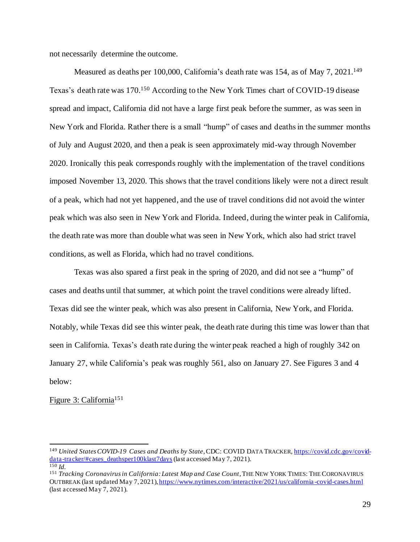not necessarily determine the outcome.

Measured as deaths per 100,000, California's death rate was 154, as of May 7, 2021.<sup>149</sup> Texas's death rate was 170. <sup>150</sup> According to the New York Times chart of COVID-19 disease spread and impact, California did not have a large first peak before the summer, as was seen in New York and Florida. Rather there is a small "hump" of cases and deaths in the summer months of July and August 2020, and then a peak is seen approximately mid-way through November 2020. Ironically this peak corresponds roughly with the implementation of the travel conditions imposed November 13, 2020. This shows that the travel conditions likely were not a direct result of a peak, which had not yet happened, and the use of travel conditions did not avoid the winter peak which was also seen in New York and Florida. Indeed, during the winter peak in California, the death rate was more than double what was seen in New York, which also had strict travel conditions, as well as Florida, which had no travel conditions.

Texas was also spared a first peak in the spring of 2020, and did not see a "hump" of cases and deaths until that summer, at which point the travel conditions were already lifted. Texas did see the winter peak, which was also present in California, New York, and Florida. Notably, while Texas did see this winter peak, the death rate during this time was lower than that seen in California. Texas's death rate during the winter peak reached a high of roughly 342 on January 27, while California's peak was roughly 561, also on January 27. See Figures 3 and 4 below:

#### Figure 3: California<sup>151</sup>

<sup>149</sup> *United States COVID-19 Cases and Deaths by State*, CDC: COVID DATA TRACKER, https://covid.cdc.gov/coviddata-tracker/#cases\_deathsper100klast7days(last accessed May 7, 2021). <sup>150</sup> *Id.*

<sup>&</sup>lt;sup>151</sup> *Tracking Coronavirus in California: Latest Map and Case Count*, THE NEW YORK TIMES: THE CORONAVIRUS OUTBREAK (last updated May 7, 2021), https://www.nytimes.com/interactive/2021/us/california -covid-cases.html (last accessed May 7, 2021).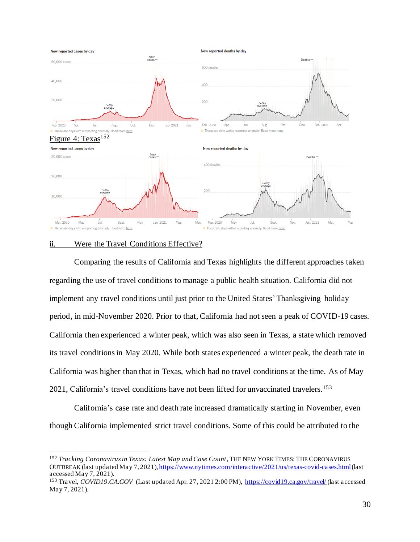

# ii. Were the Travel Conditions Effective?

Comparing the results of California and Texas highlights the different approaches taken regarding the use of travel conditions to manage a public health situation. California did not implement any travel conditions until just prior to the United States' Thanksgiving holiday period, in mid-November 2020. Prior to that, California had not seen a peak of COVID-19 cases. California then experienced a winter peak, which was also seen in Texas, a state which removed its travel conditionsin May 2020. While both states experienced a winter peak, the death rate in California was higher than that in Texas, which had no travel conditions at the time. As of May 2021, California's travel conditions have not been lifted for unvaccinated travelers.<sup>153</sup>

California's case rate and death rate increased dramatically starting in November, even though California implemented strict travel conditions. Some of this could be attributed to the

<sup>152</sup> *Tracking Coronavirus in Texas: Latest Map and Case Count*, THE NEW YORK TIMES: THE CORONAVIRUS OUTBREAK (last updated May 7, 2021), https://www.nytimes.com/interactive/2021/us/texas-covid-cases.html (last accessed May 7, 2021).

<sup>&</sup>lt;sup>153</sup> Travel, *COVID19.CA.GOV* (Last updated Apr. 27, 2021 2:00 PM), https://covid19.ca.gov/travel/ (last accessed May 7, 2021).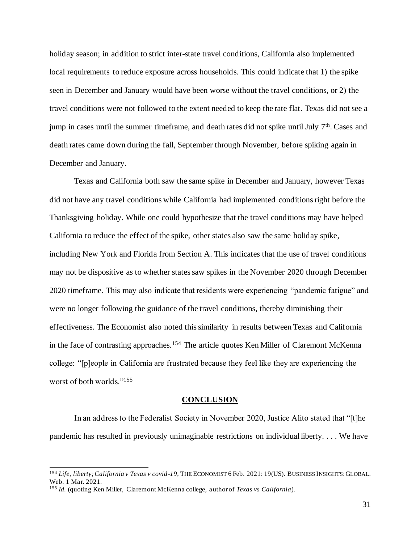holiday season; in addition to strict inter-state travel conditions, California also implemented local requirements to reduce exposure across households. This could indicate that 1) the spike seen in December and January would have been worse without the travel conditions, or 2) the travel conditions were not followed to the extent needed to keep the rate flat. Texas did not see a jump in cases until the summer timeframe, and death rates did not spike until July 7<sup>th</sup>. Cases and death rates came down during the fall, September through November, before spiking again in December and January.

Texas and California both saw the same spike in December and January, however Texas did not have any travel conditions while California had implemented conditions right before the Thanksgiving holiday. While one could hypothesize that the travel conditions may have helped California to reduce the effect of the spike, other states also saw the same holiday spike, including New York and Florida from Section A. This indicates that the use of travel conditions may not be dispositive as to whether states saw spikes in the November 2020 through December 2020 timeframe. This may also indicate that residents were experiencing "pandemic fatigue" and were no longer following the guidance of the travel conditions, thereby diminishing their effectiveness. The Economist also noted this similarity in results between Texas and California in the face of contrasting approaches.<sup>154</sup> The article quotes Ken Miller of Claremont McKenna college: "[p]eople in California are frustrated because they feel like they are experiencing the worst of both worlds."<sup>155</sup>

#### **CONCLUSION**

In an address to the Federalist Society in November 2020, Justice Alito stated that "[t]he pandemic has resulted in previously unimaginable restrictions on individual liberty. . . . We have

<sup>154</sup> *Life, liberty; California v Texas v covid-19*, THE ECONOMIST 6 Feb. 2021: 19(US). BUSINESS INSIGHTS:GLOBAL. Web. 1 Mar. 2021.

<sup>155</sup> *Id.* (quoting Ken Miller, Claremont McKenna college, author of *Texas vs California*).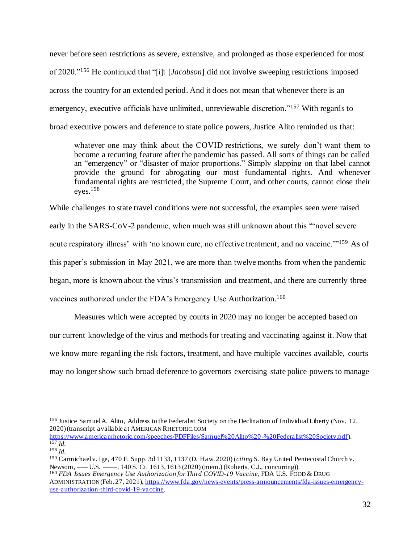never before seen restrictions as severe, extensive, and prolonged as those experienced for most of 2020."<sup>156</sup> He continued that "[i]t [*Jacobson*] did not involve sweeping restrictions imposed across the country for an extended period. And it does not mean that whenever there is an emergency, executive officials have unlimited, unreviewable discretion."<sup>157</sup> With regards to broad executive powers and deference to state police powers, Justice Alito reminded us that:

whatever one may think about the COVID restrictions, we surely don't want them to become a recurring feature after the pandemic has passed. All sorts of things can be called an "emergency" or "disaster of major proportions." Simply slapping on that label cannot provide the ground for abrogating our most fundamental rights. And whenever fundamental rights are restricted, the Supreme Court, and other courts, cannot close their  $eves.<sup>158</sup>$ 

While challenges to state travel conditions were not successful, the examples seen were raised early in the SARS-CoV-2 pandemic, when much was still unknown about this "'novel severe acute respiratory illness' with 'no known cure, no effective treatment, and no vaccine.'"<sup>159</sup> As of this paper's submission in May 2021, we are more than twelve months from when the pandemic began, more is known about the virus's transmission and treatment, and there are currently three vaccines authorized under the FDA's Emergency Use Authorization.<sup>160</sup>

Measures which were accepted by courts in 2020 may no longer be accepted based on our current knowledge of the virus and methods for treating and vaccinating against it. Now that we know more regarding the risk factors, treatment, and have multiple vaccines available, courts may no longer show such broad deference to governors exercising state police powers to manage

<sup>156</sup> Justice Samuel A. Alito, Address to the Federalist Society on the Declination of Individual Liberty (Nov. 12, 2020) (transcript available at AMERICAN RHETORIC.COM

https://www.americanrhetoric.com/speeches/PDFFiles/Samuel%20Alito%20-%20Federalist%20Society.pdf).  $157$  *Id.* 

<sup>158</sup> *Id.*

<sup>159</sup> Carmichaelv. Ige, 470 F. Supp. 3d 1133, 1137 (D. Haw. 2020) (*citing* S. Bay United PentecostalChurch v. Newsom, —— U.S. ——, 140 S. Ct. 1613, 1613 (2020) (mem.) (Roberts, C.J., concurring)).

<sup>160</sup> *FDA Issues Emergency Use Authorization for Third COVID-19 Vaccine*, FDA U.S. FOOD & DRUG ADMINISTRATION (Feb. 27, 2021), https://www.fda.gov/news-events/press-announcements/fda-issues-emergencyuse-authorization-third-covid-19-vaccine.